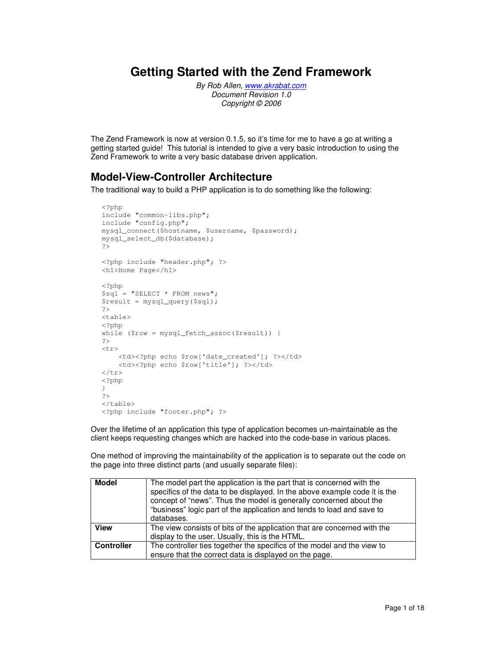## **Getting Started with the Zend Framework**

By Rob Allen, www.akrabat.com Document Revision 1.0 Copyright © 2006

The Zend Framework is now at version 0.1.5, so it's time for me to have a go at writing a getting started guide! This tutorial is intended to give a very basic introduction to using the Zend Framework to write a very basic database driven application.

## **Model-View-Controller Architecture**

The traditional way to build a PHP application is to do something like the following:

```
<?php 
include "common-libs.php"; 
include "config.php"; 
mysql_connect($hostname, $username, $password); 
mysql_select_db($database); 
?> 
<?php include "header.php"; ?> 
<h1>Home Page</h1> 
<?php 
$sql = "SELECT * FROM news"; 
$result = mysql_query($sql); 
?> 
<table> 
<?php 
while ($row = mysql_fetch_assoc($result)) { 
?> 
<tr>
    <td><?php echo $row['date_created']; ?></td>
     <td><?php echo $row['title']; ?></td> 
\langletr>
<?php 
} 
?> 
</table> 
<?php include "footer.php"; ?>
```
Over the lifetime of an application this type of application becomes un-maintainable as the client keeps requesting changes which are hacked into the code-base in various places.

One method of improving the maintainability of the application is to separate out the code on the page into three distinct parts (and usually separate files):

| <b>Model</b>      | The model part the application is the part that is concerned with the<br>specifics of the data to be displayed. In the above example code it is the<br>concept of "news". Thus the model is generally concerned about the<br>"business" logic part of the application and tends to load and save to<br>databases. |
|-------------------|-------------------------------------------------------------------------------------------------------------------------------------------------------------------------------------------------------------------------------------------------------------------------------------------------------------------|
| <b>View</b>       | The view consists of bits of the application that are concerned with the<br>display to the user. Usually, this is the HTML.                                                                                                                                                                                       |
| <b>Controller</b> | The controller ties together the specifics of the model and the view to<br>ensure that the correct data is displayed on the page.                                                                                                                                                                                 |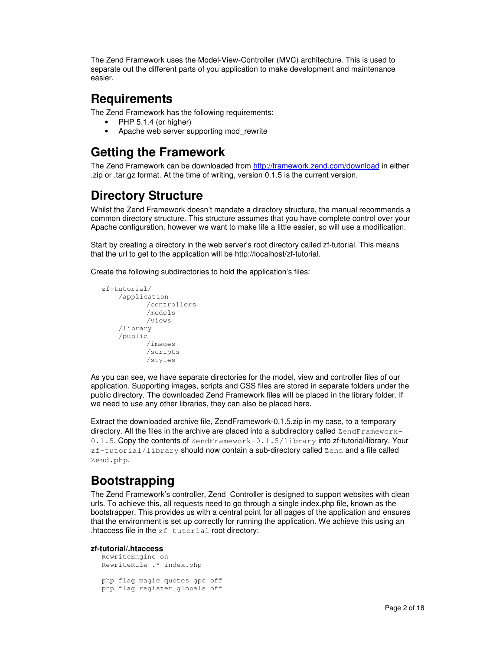The Zend Framework uses the Model-View-Controller (MVC) architecture. This is used to separate out the different parts of you application to make development and maintenance easier.

# **Requirements**

The Zend Framework has the following requirements:

- PHP 5.1.4 (or higher)
- Apache web server supporting mod rewrite

# **Getting the Framework**

The Zend Framework can be downloaded from http://framework.zend.com/download in either .zip or .tar.gz format. At the time of writing, version 0.1.5 is the current version.

# **Directory Structure**

Whilst the Zend Framework doesn't mandate a directory structure, the manual recommends a common directory structure. This structure assumes that you have complete control over your Apache configuration, however we want to make life a little easier, so will use a modification.

Start by creating a directory in the web server's root directory called zf-tutorial. This means that the url to get to the application will be http://localhost/zf-tutorial.

Create the following subdirectories to hold the application's files:

```
zf-tutorial/ 
      /application 
              /controllers 
              /models 
              /views 
      /library 
      /public 
              /images 
              /scripts 
              /styles
```
As you can see, we have separate directories for the model, view and controller files of our application. Supporting images, scripts and CSS files are stored in separate folders under the public directory. The downloaded Zend Framework files will be placed in the library folder. If we need to use any other libraries, they can also be placed here.

Extract the downloaded archive file, ZendFramework-0.1.5.zip in my case, to a temporary directory. All the files in the archive are placed into a subdirectory called  $\text{ZendFramework}$ 0.1.5. Copy the contents of ZendFramework-0.1.5/library into zf-tutorial/library. Your zf-tutorial/library should now contain a sub-directory called Zend and a file called Zend.php.

# **Bootstrapping**

The Zend Framework's controller, Zend\_Controller is designed to support websites with clean urls. To achieve this, all requests need to go through a single index.php file, known as the bootstrapper. This provides us with a central point for all pages of the application and ensures that the environment is set up correctly for running the application. We achieve this using an .htaccess file in the zf-tutorial root directory:

### **zf-tutorial/.htaccess**

```
RewriteEngine on 
RewriteRule .* index.php 
php_flag magic_quotes_gpc off 
php_flag register_globals off
```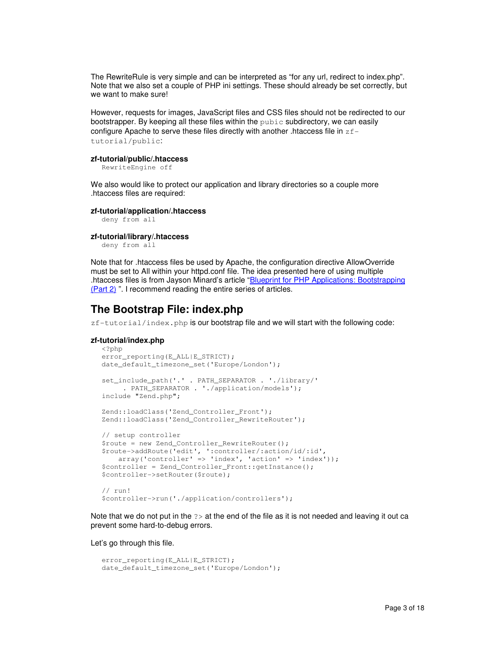The RewriteRule is very simple and can be interpreted as "for any url, redirect to index.php". Note that we also set a couple of PHP ini settings. These should already be set correctly, but we want to make sure!

However, requests for images, JavaScript files and CSS files should not be redirected to our bootstrapper. By keeping all these files within the  $\text{public}$  subdirectory, we can easily configure Apache to serve these files directly with another .htaccess file in  $z f$ tutorial/public:

#### **zf-tutorial/public/.htaccess**

RewriteEngine off

We also would like to protect our application and library directories so a couple more .htaccess files are required:

#### **zf-tutorial/application/.htaccess**

deny from all

#### **zf-tutorial/library/.htaccess**

deny from all

Note that for .htaccess files be used by Apache, the configuration directive AllowOverride must be set to All within your httpd.conf file. The idea presented here of using multiple .htaccess files is from Jayson Minard's article "Blueprint for PHP Applications: Bootstrapping (Part 2) ". I recommend reading the entire series of articles.

### **The Bootstrap File: index.php**

 $zf-tutorial/index.php$  is our bootstrap file and we will start with the following code:

#### **zf-tutorial/index.php**

```
<?php 
error_reporting(E_ALL|E_STRICT); 
date_default_timezone_set('Europe/London'); 
set_include_path('.' . PATH_SEPARATOR . './library/' 
     . PATH_SEPARATOR . './application/models'); 
include "Zend.php"; 
Zend::loadClass('Zend_Controller_Front'); 
Zend::loadClass('Zend_Controller_RewriteRouter'); 
// setup controller 
$route = new Zend Controller RewriteRouter();
$route->addRoute('edit', ':controller/:action/id/:id', 
   array('controller' \Rightarrow 'index', 'action' \Rightarrow 'index');
$controller = Zend_Controller_Front::getInstance();
$controller->setRouter($route); 
// run! 
$controller->run('./application/controllers');
```
Note that we do not put in the ?> at the end of the file as it is not needed and leaving it out ca prevent some hard-to-debug errors.

Let's go through this file.

```
error_reporting(E_ALL|E_STRICT);
date_default_timezone_set('Europe/London');
```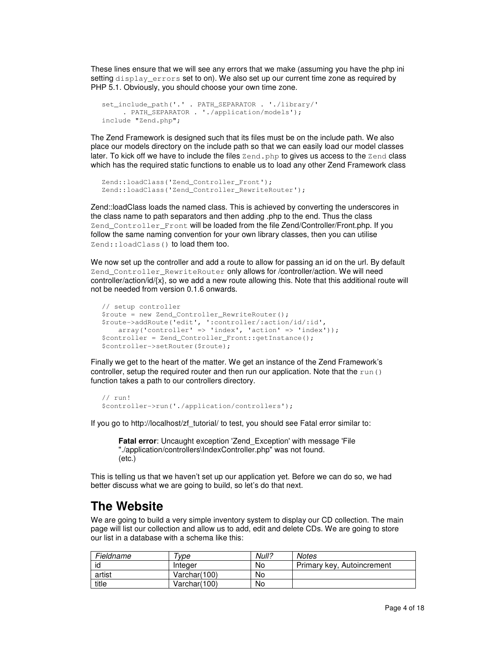These lines ensure that we will see any errors that we make (assuming you have the php ini setting display errors set to on). We also set up our current time zone as required by PHP 5.1. Obviously, you should choose your own time zone.

```
set_include_path('.' . PATH_SEPARATOR . './library/' 
      . PATH_SEPARATOR . './application/models'); 
include "Zend.php";
```
The Zend Framework is designed such that its files must be on the include path. We also place our models directory on the include path so that we can easily load our model classes later. To kick off we have to include the files  $\text{Zend}$ , php to gives us access to the  $\text{Zend}$  class which has the required static functions to enable us to load any other Zend Framework class

```
Zend::loadClass('Zend_Controller_Front'); 
Zend::loadClass('Zend_Controller_RewriteRouter');
```
Zend::loadClass loads the named class. This is achieved by converting the underscores in the class name to path separators and then adding .php to the end. Thus the class Zend\_Controller\_Front will be loaded from the file Zend/Controller/Front.php. If you follow the same naming convention for your own library classes, then you can utilise Zend:: loadClass() to load them too.

We now set up the controller and add a route to allow for passing an id on the url. By default Zend\_Controller\_RewriteRouter only allows for /controller/action. We will need controller/action/id/{x}, so we add a new route allowing this. Note that this additional route will not be needed from version 0.1.6 onwards.

```
// setup controller 
$route = new Zend_Controller_RewriteRouter(); 
$route->addRoute('edit', ':controller/:action/id/:id', 
   array('controller' => 'index', 'action' => 'index');$controller = Zend_Controller_Front::getInstance();
$controller->setRouter($route);
```
Finally we get to the heart of the matter. We get an instance of the Zend Framework's controller, setup the required router and then run our application. Note that the run() function takes a path to our controllers directory.

```
// run! 
$controller->run('./application/controllers');
```
If you go to http://localhost/zf\_tutorial/ to test, you should see Fatal error similar to:

```
Fatal error: Uncaught exception 'Zend Exception' with message 'File
"./application/controllers\IndexController.php" was not found. 
(etc.)
```
This is telling us that we haven't set up our application yet. Before we can do so, we had better discuss what we are going to build, so let's do that next.

## **The Website**

We are going to build a very simple inventory system to display our CD collection. The main page will list our collection and allow us to add, edit and delete CDs. We are going to store our list in a database with a schema like this:

| Fieldname | vpe          | Null? | <b>Notes</b>               |
|-----------|--------------|-------|----------------------------|
| id        | Integer      | No    | Primary key, Autoincrement |
| artist    | Varchar(100) | No    |                            |
| title     | Varchar(100) | No    |                            |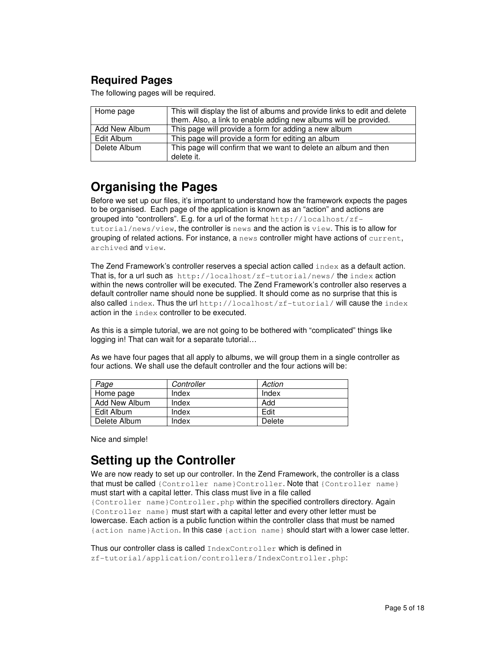## **Required Pages**

The following pages will be required.

| Home page     | This will display the list of albums and provide links to edit and delete<br>them. Also, a link to enable adding new albums will be provided. |
|---------------|-----------------------------------------------------------------------------------------------------------------------------------------------|
| Add New Album | This page will provide a form for adding a new album                                                                                          |
| Edit Album    | This page will provide a form for editing an album                                                                                            |
| Delete Album  | This page will confirm that we want to delete an album and then<br>delete it.                                                                 |

# **Organising the Pages**

Before we set up our files, it's important to understand how the framework expects the pages to be organised. Each page of the application is known as an "action" and actions are grouped into "controllers". E.g. for a url of the format  $http://localhost/zf$  $t$ utorial/news/view, the controller is news and the action is  $v$ iew. This is to allow for grouping of related actions. For instance, a news controller might have actions of current, archived and view.

The Zend Framework's controller reserves a special action called index as a default action. That is, for a url such as http://localhost/zf-tutorial/news/ the index action within the news controller will be executed. The Zend Framework's controller also reserves a default controller name should none be supplied. It should come as no surprise that this is also called index. Thus the url http://localhost/zf-tutorial/ will cause the index action in the index controller to be executed.

As this is a simple tutorial, we are not going to be bothered with "complicated" things like logging in! That can wait for a separate tutorial…

As we have four pages that all apply to albums, we will group them in a single controller as four actions. We shall use the default controller and the four actions will be:

| Page          | Controller | Action |
|---------------|------------|--------|
| Home page     | Index      | Index  |
| Add New Album | Index      | Add    |
| Edit Album    | Index      | Edit   |
| Delete Album  | Index      | Delete |

Nice and simple!

# **Setting up the Controller**

We are now ready to set up our controller. In the Zend Framework, the controller is a class that must be called {Controller name}Controller. Note that {Controller name} must start with a capital letter. This class must live in a file called {Controller name}Controller.php within the specified controllers directory. Again {Controller name} must start with a capital letter and every other letter must be lowercase. Each action is a public function within the controller class that must be named {action name}Action. In this case {action name} should start with a lower case letter.

Thus our controller class is called IndexController which is defined in zf-tutorial/application/controllers/IndexController.php: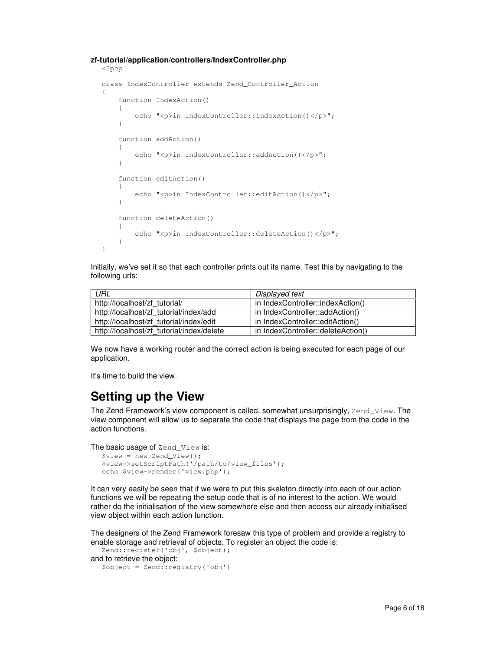### **zf-tutorial/application/controllers/IndexController.php**

```
<?php 
class IndexController extends Zend_Controller_Action 
{ 
     function IndexAction() 
     { 
        echo "<p>in IndexController::indexAction()</p>";
     } 
     function addAction() 
     { 
        echo "<p>in IndexController::addAction()</p>";
     } 
     function editAction() 
     { 
        echo "<p>in IndexController::editAction()</p>";
     } 
     function deleteAction() 
     { 
        echo "<p>in IndexController::deleteAction()</p>";
     } 
}
```
Initially, we've set it so that each controller prints out its name. Test this by navigating to the following urls:

| URL                                       | Displayed text                     |  |
|-------------------------------------------|------------------------------------|--|
| http://localhost/zf tutorial/             | in IndexController::indexAction()  |  |
| http://localhost/zf tutorial/index/add    | in IndexController::addAction()    |  |
| http://localhost/zf tutorial/index/edit   | in IndexController::editAction()   |  |
| http://localhost/zf tutorial/index/delete | in IndexController::deleteAction() |  |

We now have a working router and the correct action is being executed for each page of our application.

It's time to build the view.

## **Setting up the View**

The Zend Framework's view component is called, somewhat unsurprisingly, Zend\_View. The view component will allow us to separate the code that displays the page from the code in the action functions.

The basic usage of Zend\_View is:

```
$view = new Zend_View(); 
$view->setScriptPath('/path/to/view_files'); 
echo $view->render('view.php');
```
It can very easily be seen that if we were to put this skeleton directly into each of our action functions we will be repeating the setup code that is of no interest to the action. We would rather do the initialisation of the view somewhere else and then access our already initialised view object within each action function.

The designers of the Zend Framework foresaw this type of problem and provide a registry to enable storage and retrieval of objects. To register an object the code is:

```
Zend::register('obj', $object); 
and to retrieve the object: 
  $object = Zend::registry('obj')
```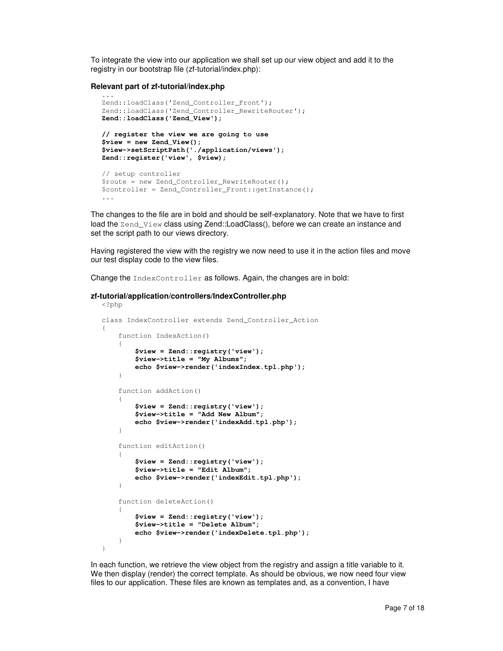To integrate the view into our application we shall set up our view object and add it to the registry in our bootstrap file (zf-tutorial/index.php):

#### **Relevant part of zf-tutorial/index.php**

```
... 
Zend::loadClass('Zend_Controller_Front'); 
Zend::loadClass('Zend_Controller_RewriteRouter'); 
Zend::loadClass('Zend_View'); 
// register the view we are going to use 
$view = new Zend_View(); 
$view->setScriptPath('./application/views'); 
Zend::register('view', $view); 
// setup controller 
$route = new Zend_Controller_RewriteRouter(); 
$controller = Zend_Controller_Front::getInstance();
```
The changes to the file are in bold and should be self-explanatory. Note that we have to first load the Zend\_View class using Zend::LoadClass(), before we can create an instance and set the script path to our views directory.

Having registered the view with the registry we now need to use it in the action files and move our test display code to the view files.

Change the IndexController as follows. Again, the changes are in bold:

### **zf-tutorial/application/controllers/IndexController.php**

```
<?php 
class IndexController extends Zend_Controller_Action 
{ 
     function IndexAction() 
     { 
          $view = Zend::registry('view'); 
          $view->title = "My Albums"; 
          echo $view->render('indexIndex.tpl.php'); 
     } 
     function addAction() 
      { 
          $view = Zend::registry('view'); 
          $view->title = "Add New Album"; 
          echo $view->render('indexAdd.tpl.php'); 
     } 
     function editAction() 
\left\{\begin{array}{ccc} \end{array}\right\} $view = Zend::registry('view'); 
          $view->title = "Edit Album"; 
          echo $view->render('indexEdit.tpl.php'); 
      } 
     function deleteAction() 
      { 
          $view = Zend::registry('view'); 
          $view->title = "Delete Album"; 
          echo $view->render('indexDelete.tpl.php'); 
     } 
}
```
In each function, we retrieve the view object from the registry and assign a title variable to it. We then display (render) the correct template. As should be obvious, we now need four view files to our application. These files are known as templates and, as a convention, I have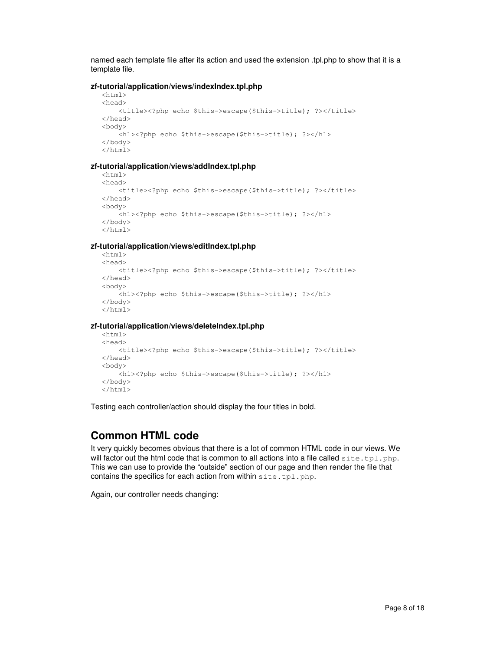named each template file after its action and used the extension .tpl.php to show that it is a template file.

### **zf-tutorial/application/views/indexIndex.tpl.php**

```
\langle h+m\rangle<head> 
    <title><?php echo $this->escape($this->title); ?></title>
</head> 
<body> 
     <h1><?php echo $this->escape($this->title); ?></h1> 
</body> 
</html>
```
### **zf-tutorial/application/views/addIndex.tpl.php**

```
<h+ml><head> 
    <title><?php echo $this->escape($this->title); ?></title>
</head> 
<body> 
     <h1><?php echo $this->escape($this->title); ?></h1> 
</body> 
</html>
```
### **zf-tutorial/application/views/editIndex.tpl.php**

```
<html> 
<head> 
    <title><?php echo $this->escape($this->title); ?></title>
</head> 
<body> 
    -<br><h1><?php echo $this->escape($this->title); ?></h1>
</body> 
</html>
```
### **zf-tutorial/application/views/deleteIndex.tpl.php**

```
<html><head> 
    <title><?php echo $this->escape($this->title); ?></title>
</head> 
<body> 
     <h1><?php echo $this->escape($this->title); ?></h1> 
</body> 
\langle/html>
```
Testing each controller/action should display the four titles in bold.

## **Common HTML code**

It very quickly becomes obvious that there is a lot of common HTML code in our views. We will factor out the html code that is common to all actions into a file called  $\text{site.tpl.php.}$ This we can use to provide the "outside" section of our page and then render the file that contains the specifics for each action from within site.tpl.php.

Again, our controller needs changing: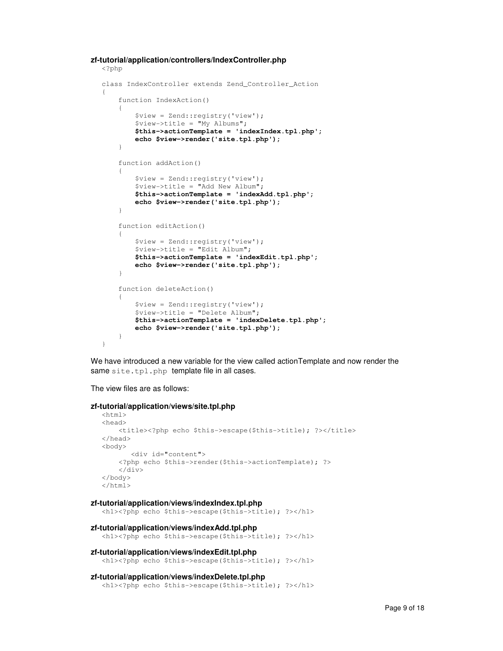```
zf-tutorial/application/controllers/IndexController.php
```

```
<?php 
class IndexController extends Zend_Controller_Action 
{ 
     function IndexAction() 
      { 
          $view = Zend::registry('view'); 
          $view->title = "My Albums"; 
          $this->actionTemplate = 'indexIndex.tpl.php'; 
          echo $view->render('site.tpl.php'); 
      } 
     function addAction() 
\left\{\begin{array}{ccc} \end{array}\right\} $view = Zend::registry('view'); 
          $view->title = "Add New Album"; 
          $this->actionTemplate = 'indexAdd.tpl.php';
          echo $view->render('site.tpl.php'); 
     } 
     function editAction() 
      { 
          $view = Zend::registry('view'); 
          $view->title = "Edit Album"; 
          $this->actionTemplate = 'indexEdit.tpl.php'; 
          echo $view->render('site.tpl.php'); 
      } 
     function deleteAction() 
      { 
          $view = Zend::registry('view'); 
          $view->title = "Delete Album"; 
          $this->actionTemplate = 'indexDelete.tpl.php'; 
          echo $view->render('site.tpl.php'); 
     } 
}
```
We have introduced a new variable for the view called actionTemplate and now render the same site.tpl.php template file in all cases.

The view files are as follows:

```
zf-tutorial/application/views/site.tpl.php 
   \langle h+m\rangle
```

```
<head> 
    <title><?php echo $this->escape($this->title); ?></title>
</head> 
<body> 
        <div id="content"> 
     <?php echo $this->render($this->actionTemplate); ?> 
    \langlediv></body> 
</html>
```

```
zf-tutorial/application/views/indexIndex.tpl.php
```
<h1><?php echo \$this->escape(\$this->title); ?></h1>

```
zf-tutorial/application/views/indexAdd.tpl.php
```
<h1><?php echo \$this->escape(\$this->title); ?></h1>

```
zf-tutorial/application/views/indexEdit.tpl.php
```

```
<h1><?php echo $this->escape($this->title); ?></h1>
```
### **zf-tutorial/application/views/indexDelete.tpl.php**

```
<h1><?php echo $this->escape($this->title); ?></h1>
```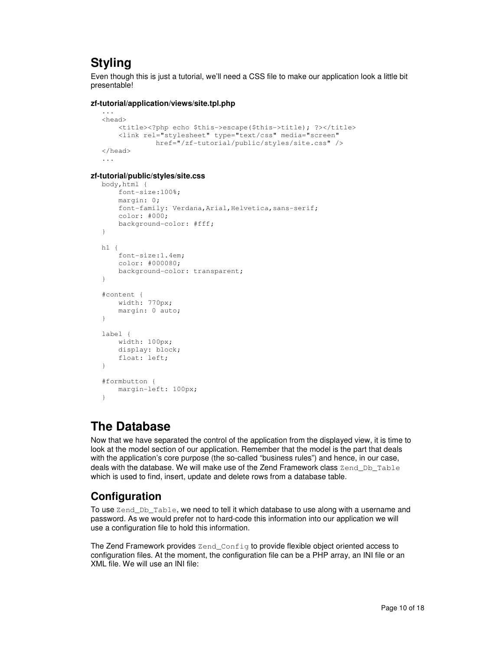# **Styling**

Even though this is just a tutorial, we'll need a CSS file to make our application look a little bit presentable!

### **zf-tutorial/application/views/site.tpl.php**

```
... 
<head> 
    <title><?php echo $this->escape($this->title); ?></title>
     <link rel="stylesheet" type="text/css" media="screen" 
              href="/zf-tutorial/public/styles/site.css" /> 
</head> 
...
```
### **zf-tutorial/public/styles/site.css**

```
body,html { 
     font-size:100%; 
     margin: 0; 
    font-family: Verdana, Arial, Helvetica, sans-serif;
     color: #000; 
     background-color: #fff; 
} 
h1 { 
     font-size:1.4em; 
     color: #000080; 
     background-color: transparent; 
} 
#content { 
     width: 770px; 
     margin: 0 auto; 
} 
label { 
     width: 100px; 
     display: block; 
     float: left; 
} 
#formbutton { 
    margin-left: 100px; 
}
```
# **The Database**

Now that we have separated the control of the application from the displayed view, it is time to look at the model section of our application. Remember that the model is the part that deals with the application's core purpose (the so-called "business rules") and hence, in our case, deals with the database. We will make use of the Zend Framework class Zend\_Db\_Table which is used to find, insert, update and delete rows from a database table.

## **Configuration**

To use Zend Db Table, we need to tell it which database to use along with a username and password. As we would prefer not to hard-code this information into our application we will use a configuration file to hold this information.

The Zend Framework provides Zend\_Config to provide flexible object oriented access to configuration files. At the moment, the configuration file can be a PHP array, an INI file or an XML file. We will use an INI file: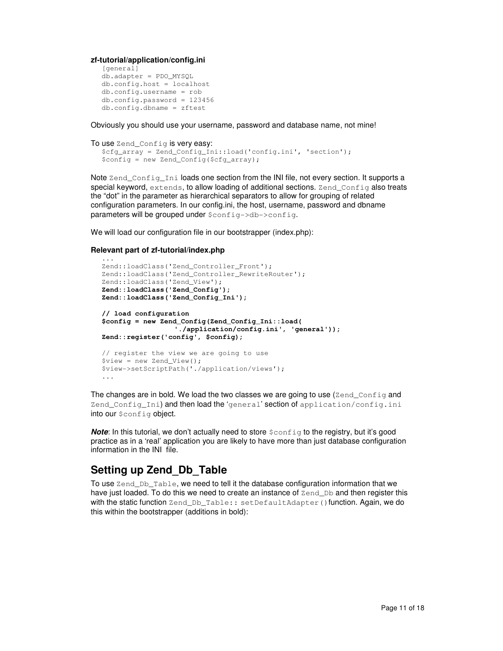**zf-tutorial/application/config.ini** 

```
[general] 
db.adapter = PDO_MYSQL 
db.config.host = localhost 
db.config.username = rob 
db.config.password = 123456 
db.config.dbname = zftest
```
Obviously you should use your username, password and database name, not mine!

```
To use Zend Config is very easy:
  $cfg_array = Zend_Config_Ini::load('config.ini', 'section'); 
  $config = new Zend_Config($cfg_array);
```
Note Zend Config Ini loads one section from the INI file, not every section. It supports a special keyword, extends, to allow loading of additional sections. Zend Config also treats the "dot" in the parameter as hierarchical separators to allow for grouping of related configuration parameters. In our config.ini, the host, username, password and dbname parameters will be grouped under  $\frac{1}{2}$ config->db->config.

We will load our configuration file in our bootstrapper (index.php):

### **Relevant part of zf-tutorial/index.php**

```
... 
Zend::loadClass('Zend_Controller_Front'); 
Zend::loadClass('Zend_Controller_RewriteRouter'); 
Zend::loadClass('Zend_View'); 
Zend::loadClass('Zend_Config'); 
Zend::loadClass('Zend_Config_Ini'); 
// load configuration 
$config = new Zend_Config(Zend_Config_Ini::load( 
                   './application/config.ini', 'general')); 
Zend::register('config', $config); 
// register the view we are going to use 
$view = new Zend_View(); 
$view->setScriptPath('./application/views'); 
...
```
The changes are in bold. We load the two classes we are going to use ( $\text{Zend}_C$ Config and Zend\_Config\_Ini) and then load the 'general' section of application/config.ini into our \$config object.

**Note:** In this tutorial, we don't actually need to store  $\frac{1}{2}$  config to the registry, but it's good practice as in a 'real' application you are likely to have more than just database configuration information in the INI file.

### **Setting up Zend\_Db\_Table**

To use Zend\_Db\_Table, we need to tell it the database configuration information that we have just loaded. To do this we need to create an instance of  $\text{Zend}\_Db$  and then register this with the static function Zend\_Db\_Table:: setDefaultAdapter() function. Again, we do this within the bootstrapper (additions in bold):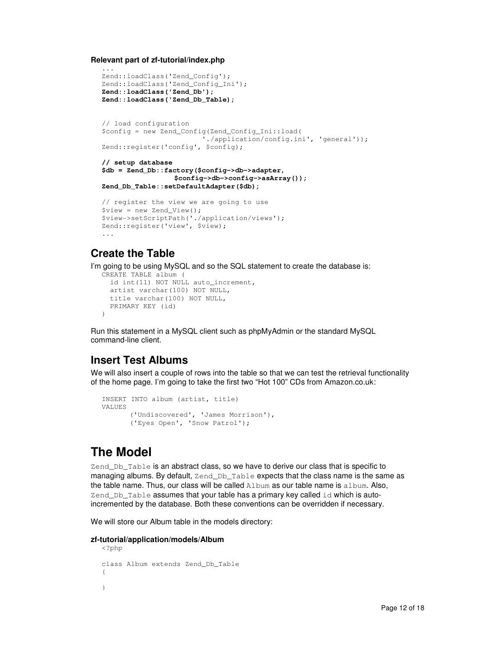**Relevant part of zf-tutorial/index.php** 

```
... 
Zend::loadClass('Zend_Config'); 
Zend::loadClass('Zend_Config_Ini'); 
Zend::loadClass('Zend_Db'); 
Zend::loadClass('Zend_Db_Table); 
// load configuration 
$config = new Zend_Config(Zend_Config_Ini::load( 
                          './application/config.ini', 'general')); 
Zend::register('config', $config); 
// setup database 
$db = Zend_Db::factory($config->db->adapter, 
                  $config->db->config->asArray()); 
Zend_Db_Table::setDefaultAdapter($db); 
// register the view we are going to use 
$view = new Zend_View(); 
$view->setScriptPath('./application/views'); 
Zend::register('view', $view); 
...
```
### **Create the Table**

I'm going to be using MySQL and so the SQL statement to create the database is:

```
CREATE TABLE album ( 
   id int(11) NOT NULL auto_increment, 
   artist varchar(100) NOT NULL, 
  title varchar(100) NOT NULL, 
   PRIMARY KEY (id) 
)
```
Run this statement in a MySQL client such as phpMyAdmin or the standard MySQL command-line client.

## **Insert Test Albums**

We will also insert a couple of rows into the table so that we can test the retrieval functionality of the home page. I'm going to take the first two "Hot 100" CDs from Amazon.co.uk:

```
INSERT INTO album (artist, title) 
VALUES 
       ('Undiscovered', 'James Morrison'), 
       ('Eyes Open', 'Snow Patrol');
```
# **The Model**

Zend Db Table is an abstract class, so we have to derive our class that is specific to managing albums. By default, Zend\_Db\_Table expects that the class name is the same as the table name. Thus, our class will be called Album as our table name is album. Also, Zend  $Db$  Table assumes that your table has a primary key called  $id$  which is autoincremented by the database. Both these conventions can be overridden if necessary.

We will store our Album table in the models directory:

### **zf-tutorial/application/models/Album**

```
<?php 
class Album extends Zend_Db_Table 
{ 
}
```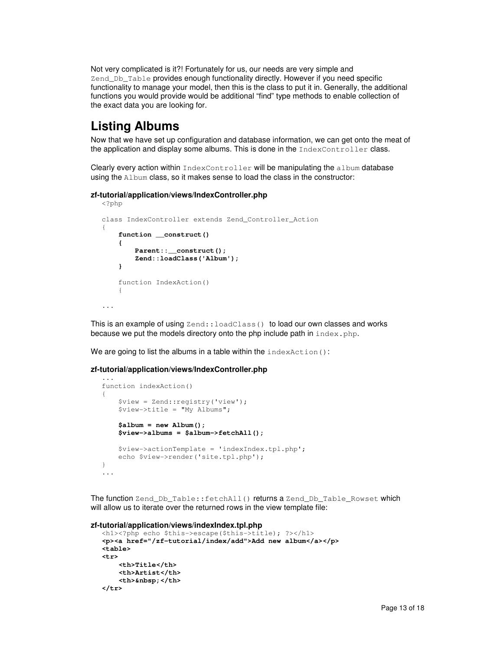Not very complicated is it?! Fortunately for us, our needs are very simple and Zend Db. Table provides enough functionality directly. However if you need specific functionality to manage your model, then this is the class to put it in. Generally, the additional functions you would provide would be additional "find" type methods to enable collection of the exact data you are looking for.

# **Listing Albums**

Now that we have set up configuration and database information, we can get onto the meat of the application and display some albums. This is done in the IndexController class.

Clearly every action within IndexController will be manipulating the album database using the Album class, so it makes sense to load the class in the constructor:

### **zf-tutorial/application/views/IndexController.php**

```
<?php 
class IndexController extends Zend_Controller_Action 
{ 
     function __construct() 
     { 
          Parent::__construct(); 
          Zend::loadClass('Album'); 
     } 
     function IndexAction() 
     { 
...
```
This is an example of using  $\text{Zend}$ :  $\text{loadClass}$  () to load our own classes and works because we put the models directory onto the php include path in  $index.php$ .

We are going to list the albums in a table within the indexAction():

#### **zf-tutorial/application/views/IndexController.php**

```
... 
function indexAction() 
{ 
     $view = Zend::registry('view'); 
     $view->title = "My Albums"; 
     $album = new Album(); 
     $view->albums = $album->fetchAll(); 
     $view->actionTemplate = 'indexIndex.tpl.php'; 
     echo $view->render('site.tpl.php'); 
} 
...
```
The function Zend\_Db\_Table::fetchAll() returns a Zend\_Db\_Table\_Rowset which will allow us to iterate over the returned rows in the view template file:

### **zf-tutorial/application/views/indexIndex.tpl.php**

```
<h1><?php echo $this->escape($this->title); ?></h1>
<p><a href="/zf-tutorial/index/add">Add new album</a></p> 
<table> 
<tr> 
     <th>Title</th> 
     <th>Artist</th> 
    <th>&nbsp;</th>
</tr>
```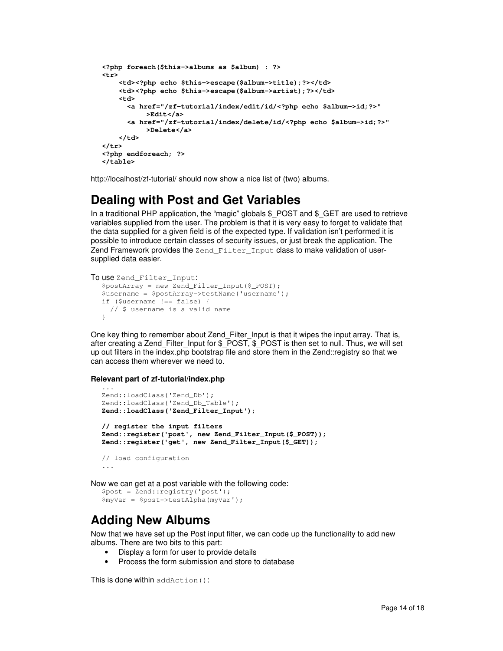```
<?php foreach($this->albums as $album) : ?> 
<tr> 
     <td><?php echo $this->escape($album->title);?></td> 
     <td><?php echo $this->escape($album->artist);?></td> 
     <td> 
       <a href="/zf-tutorial/index/edit/id/<?php echo $album->id;?>" 
           >Edit</a> 
       <a href="/zf-tutorial/index/delete/id/<?php echo $album->id;?>" 
           >Delete</a> 
     </td> 
</tr> 
<?php endforeach; ?> 
</table>
```
http://localhost/zf-tutorial/ should now show a nice list of (two) albums.

# **Dealing with Post and Get Variables**

In a traditional PHP application, the "magic" globals  $$$  POST and  $$$  GET are used to retrieve variables supplied from the user. The problem is that it is very easy to forget to validate that the data supplied for a given field is of the expected type. If validation isn't performed it is possible to introduce certain classes of security issues, or just break the application. The Zend Framework provides the Zend Filter\_Input class to make validation of usersupplied data easier.

```
To use Zend Filter_Input:
  $postArray = new Zend_Filter_Input($_POST); 
  $username = $postArray->testName('username'); 
  if ($username !== false) { 
      // $ username is a valid name 
  }
```
One key thing to remember about Zend\_Filter\_Input is that it wipes the input array. That is, after creating a Zend\_Filter\_Input for \$\_POST, \$\_POST is then set to null. Thus, we will set up out filters in the index.php bootstrap file and store them in the Zend::registry so that we can access them wherever we need to.

### **Relevant part of zf-tutorial/index.php**

```
... 
Zend::loadClass('Zend_Db'); 
Zend::loadClass('Zend_Db_Table'); 
Zend::loadClass('Zend_Filter_Input'); 
// register the input filters 
Zend::register('post', new Zend_Filter_Input($_POST)); 
Zend::register('get', new Zend_Filter_Input($_GET)); 
// load configuration 
...
```
Now we can get at a post variable with the following code:

```
$post = Zend::registry('post'); 
$myVar = $post->testAlpha(myVar');
```
# **Adding New Albums**

Now that we have set up the Post input filter, we can code up the functionality to add new albums. There are two bits to this part:

- Display a form for user to provide details
- Process the form submission and store to database

This is done within addAction():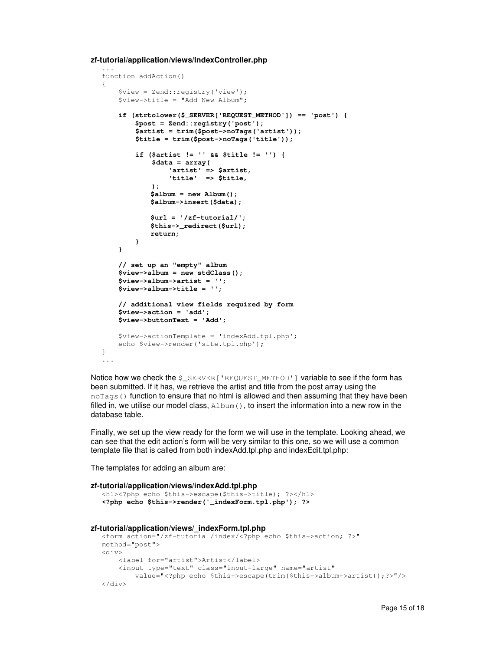**zf-tutorial/application/views/IndexController.php** 

```
... 
function addAction() 
{ 
     $view = Zend::registry('view'); 
     $view->title = "Add New Album"; 
     if (strtolower($_SERVER['REQUEST_METHOD']) == 'post') { 
         $post = Zend::registry('post'); 
         $artist = trim($post->noTags('artist')); 
         $title = trim($post->noTags('title')); 
         if ($artist != '' && $title != '') { 
              $data = array( 
                  'artist' => $artist, 
                   'title' => $title, 
              ); 
              $album = new Album(); 
             $album->insert($data); 
             $url = '/zf-tutorial/'; 
             $this->_redirect($url); 
             return; 
         } 
     } 
     // set up an "empty" album 
     $view->album = new stdClass(); 
     $view->album->artist = ''; 
     $view->album->title = ''; 
     // additional view fields required by form 
     $view->action = 'add'; 
     $view->buttonText = 'Add'; 
     $view->actionTemplate = 'indexAdd.tpl.php'; 
     echo $view->render('site.tpl.php'); 
} 
...
```
Notice how we check the  $\frac{1}{2}$  SERVER['REQUEST\_METHOD'] variable to see if the form has been submitted. If it has, we retrieve the artist and title from the post array using the noTags() function to ensure that no html is allowed and then assuming that they have been filled in, we utilise our model class,  $\text{Album}(i)$ , to insert the information into a new row in the database table.

Finally, we set up the view ready for the form we will use in the template. Looking ahead, we can see that the edit action's form will be very similar to this one, so we will use a common template file that is called from both indexAdd.tpl.php and indexEdit.tpl.php:

The templates for adding an album are:

```
zf-tutorial/application/views/indexAdd.tpl.php 
   <h1><?php echo $this->escape($this->title); ?></h1>
  <?php echo $this->render('_indexForm.tpl.php'); ?> 
zf-tutorial/application/views/_indexForm.tpl.php 
  <form action="/zf-tutorial/index/<?php echo $this->action; ?>" 
  method="post"> 
  <div> 
        <label for="artist">Artist</label> 
        <input type="text" class="input-large" name="artist" 
            value="<?php echo $this->escape(trim($this->album->artist));?>"/> 
   </div>
```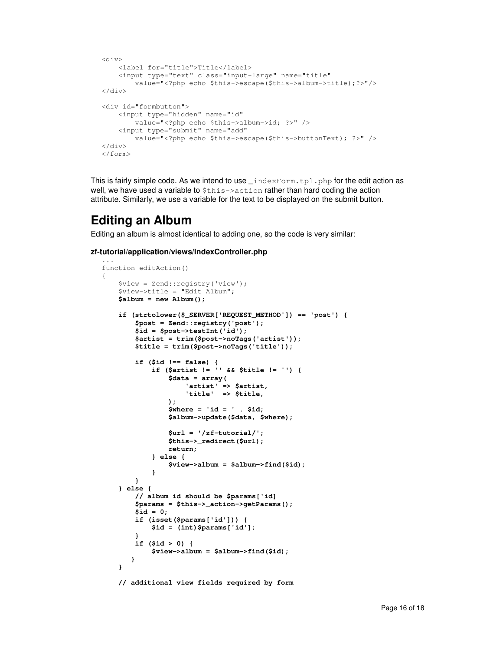```
<div> 
     <label for="title">Title</label> 
     <input type="text" class="input-large" name="title" 
         value="<?php echo $this->escape($this->album->title);?>"/> 
</div> 
<div id="formbutton"> 
     <input type="hidden" name="id" 
         value="<?php echo $this->album->id; ?>" /> 
     <input type="submit" name="add" 
         value="<?php echo $this->escape($this->buttonText); ?>" /> 
</div> 
</form>
```
This is fairly simple code. As we intend to use  ${\sf\_indexForm.tpl.php}$  for the edit action as well, we have used a variable to  $$this->action$  rather than hard coding the action attribute. Similarly, we use a variable for the text to be displayed on the submit button.

## **Editing an Album**

Editing an album is almost identical to adding one, so the code is very similar:

### **zf-tutorial/application/views/IndexController.php**

```
... 
function editAction() 
{ 
     $view = Zend::registry('view'); 
    $view-{\text{title}} = "Edit Album"; $album = new Album(); 
    if (strtolower($_SERVER['REQUEST_METHOD']) == 'post') { 
         $post = Zend::registry('post'); 
        $id = $post->testInt('id'); 
        $artist = trim($post->noTags('artist')); 
        $title = trim($post->noTags('title')); 
 if ($id !== false) { 
 if ($artist != '' && $title != '') { 
                 $data = array( 
 'artist' => $artist, 
 'title' => $title, 
);
                 $where = 'id = ' . $id; 
                $album->update($data, $where); 
                 $url = '/zf-tutorial/'; 
                $this->_redirect($url); 
                return; 
             } else { 
                 $view->album = $album->find($id); 
 } 
        } 
     } else { 
        // album id should be $params['id] 
        $params = $this->_action->getParams(); 
        $id = 0; 
        if (isset($params['id'])) { 
            $id = (int)$params['id']; 
 } 
        if ($id > 0) { 
             $view->album = $album->find($id); 
        } 
     } 
    // additional view fields required by form
```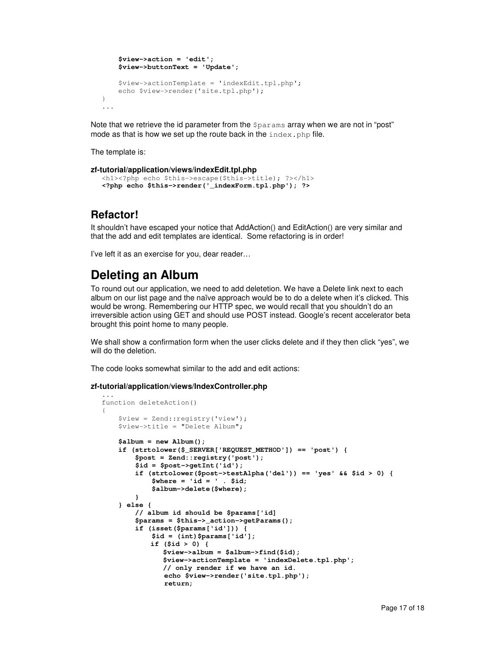```
 $view->action = 'edit'; 
     $view->buttonText = 'Update'; 
     $view->actionTemplate = 'indexEdit.tpl.php'; 
     echo $view->render('site.tpl.php'); 
} 
...
```
Note that we retrieve the id parameter from the *\$params* array when we are not in "post" mode as that is how we set up the route back in the  $index.$  php file.

The template is:

```
zf-tutorial/application/views/indexEdit.tpl.php 
  <h1><?php echo $this->escape($this->title); ?></h1>
  <?php echo $this->render('_indexForm.tpl.php'); ?>
```
## **Refactor!**

It shouldn't have escaped your notice that AddAction() and EditAction() are very similar and that the add and edit templates are identical. Some refactoring is in order!

I've left it as an exercise for you, dear reader…

# **Deleting an Album**

To round out our application, we need to add deletetion. We have a Delete link next to each album on our list page and the naïve approach would be to do a delete when it's clicked. This would be wrong. Remembering our HTTP spec, we would recall that you shouldn't do an irreversible action using GET and should use POST instead. Google's recent accelerator beta brought this point home to many people.

We shall show a confirmation form when the user clicks delete and if they then click "yes", we will do the deletion.

The code looks somewhat similar to the add and edit actions:

### **zf-tutorial/application/views/IndexController.php**

```
... 
function deleteAction() 
{ 
     $view = Zend::registry('view'); 
     $view->title = "Delete Album"; 
     $album = new Album(); 
     if (strtolower($_SERVER['REQUEST_METHOD']) == 'post') { 
         $post = Zend::registry('post'); 
         $id = $post->getInt('id'); 
         if (strtolower($post->testAlpha('del')) == 'yes' && $id > 0) { 
              $where = 'id = ' . $id; 
              $album->delete($where); 
         } 
     } else { 
         // album id should be $params['id] 
         $params = $this->_action->getParams(); 
         if (isset($params['id'])) { 
              $id = (int)$params['id']; 
             if ($id > 0) { 
                 $view->album = $album->find($id); 
                 $view->actionTemplate = 'indexDelete.tpl.php'; 
                 // only render if we have an id. 
                 echo $view->render('site.tpl.php'); 
                 return;
```